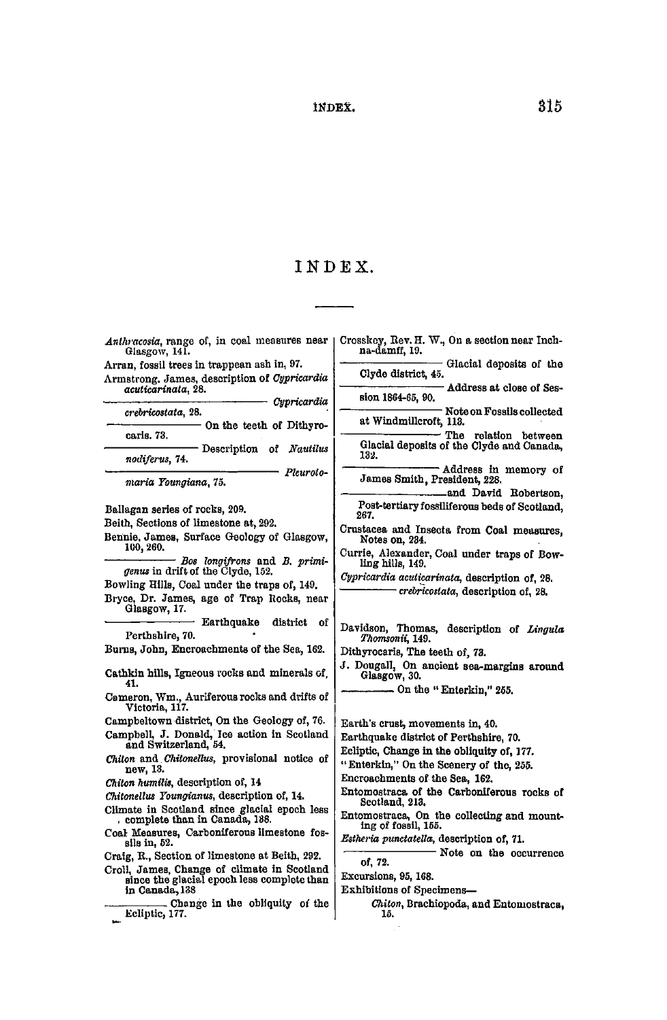## **INDEX. 315**

## **INDEX .**

*Anthracosia,* **range of, in coal measures near Crosskey, Rev. H. W., On a section near Inch-na-damff, 19. Glasgow, 141. Arran, fossil trees in trappean ash in, 97. Glacial deposits of the Clyde district, 45. Armstrong. James, description of** *Cypricardia acuticarinata,* **28. Address at close of Session 1864-65, 90.**  *• Cypricardia crebricostata*, 28. *Cypricardia* **Note on Fossils collected at Windmiilcroft, 113. On the teeth of Dithyro**caris. 73. **The relation between Glacial deposits of the Clyde and Canada, caris. 73. 132.**  nodiferus, 74. **Description of** *Nautilus*  **Address in memory of**  *nodiferus,* **74. James Smith, President, 228.**  *maria roungiana, i* b. **and David Robertson,**  *maria Youngiana,* **75. Ballagan series of rocks, 209. Post-tertiary fossiliferous beds of Scotland, 267. Beith, Sections of limestone at, 292. Crustacea and Insecta from Coal measures, Bennie, James, Surface Geology of Glasgow, Notes on, 234. 100,260. Currie, Alexander, Coal under traps of Bow-***Bos longifrons* **and** *B. primi***ling hills, 149.**  *genus* **in drift of the Clyde, 152.**  *Cypricardia aculicarinata,* **description of, 28. Bowling Hills, Coal under the traps of, 149.**  *crebricostata,* **description of, 28. Bryce, Dr. James, age of Trap Rocks, near Glasgow, 17. • Earthquake district of Davidson, Thomas, description of** *Lingula*  **Perthshire, 70.**  *Thomsonii,* **149. Bums, John, Encroachments of the Sea, 162. Dithyrocaris, The teeth of, 73. J. Dougall^ On ancient sea-margins around Cathkin hills, Igneous rocks and minerals of, 41. Glasgow, 30. On the "Enterkin," 255. Cameron, Wm., Auriferous rocks and drifts of Victoria, 117. Campbeltown district, On the Geology of, 76. Earth's crust, movements in, 40. Campbell, J. Donald, Ice action in Scotland Earthquake district of Perthshire, 70. Ecliptic, Change in the obliquity of, 177. and Switzerland, 54. "Enterkin," On the Scenery of the, 255.**  *Chiton* **and** *Chitonellus,* **provisional notice of**  new, 13.<br>Chiton humilis, description of, 14 **Encroachments of the Sea, 162. Entomostraca of the Carboniferous rocks of**  *Chitonellus Youngianus*, description of, 14. **Scotland, 213.**  Climate in Scotland since glacial epoch less **Entomostraca, On the collecting and mount**complete than in Canada, 188. **ing of fossil, 155.**  Coal Measures, Carboniferous limestone fos-<br>sils in, 52. *Estheria punctatella,* **description of, 71.**  sils in, 52.<br>Craig, R., Section of limestone at Beith, 292. **Note on the occurrence of, 72.**  Croll, James, Change of climate in Scotland **Excursions, 95,168.**  since the glacial epoch less complete than<br>in Canada, 138 **Exhibitions of Specimens—**  Change in the obliquity of the *CJiiton,* **Brachiopoda, and Entomostraca, in** Ecliptic, 177. **15.**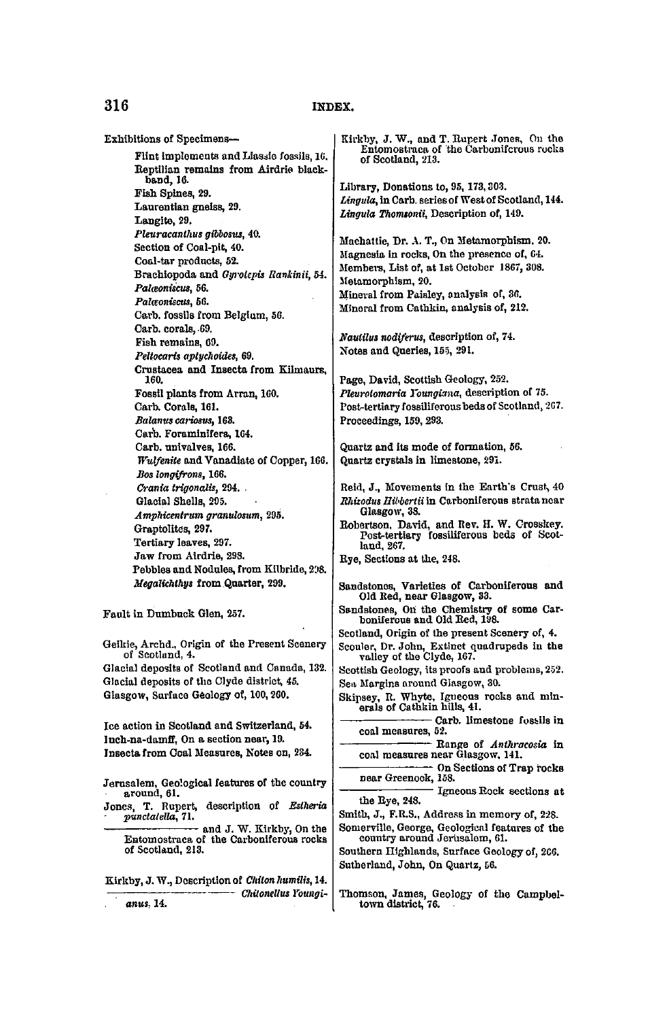## **316 INDEX.**

**Exhibitions of Specimens-Flint implements andLiasaie fossils, 16. Reptilian remains from Airdrie blackband, 16. Fish Spines, 29. Laurentian gneiss, 29. Langite, 29.**  *Pleuracanthus gibbosus,* **40. Section of Coal-pit, 40. Coal-tar products, 52. Brachiopoda and** *Gyrolepis Rankinii,* **54.**  *Palwoniscvs,* **56.**   $Palc$ <sub>c</sub>oniscu<sup>2</sup>, 56. **Carb. fossils from Belgium, 56. Carb. corals, 69. Fish remains, C9.**  *Peltocaris aptychoides,* **69. Crustacea and Insecta from Kilmaurs, 160. Fossil plants from Arran, 160. Carb. Corals, 161.**  *Balanus cariosvs,* **168. Carb. Foraminifera, 164. Carb. univalves, 166.**  *Wulfenite* **and Vanadiate of Copper, 166.**  *Bos longifrons,* **166.**  *Crania trigonaiis,* **294. . Glacial Shells, 295.**  *AmpMcentrum granulosum^* **295. Graptolites, 297. Tertiary leaves, 297. Jaw from Airdrie, 298. Pebbles and Nodules, from Kilbride, 208.**  *Megalichlhys* **from Quarter, 299. Fault in Dumbuck Glen, 257. Qeikie, Archd., Origin of the Present Scenery of Scotland, 4. Glacial deposits of Scotland and Canada, 132. Glacial deposits of the Clyde district, 45. Glasgow, Surface Geology of, 100, 260. Ice action in Scotland and Switzerland, 54. Inch-na-damff, On a section near, 19. Insecta from Coal Measures, Notes on, 284. Jerusalem, Geological features of the country around, 61. Jones, T. Rupert, description of** *Estheria punctalelto,* **71.** 

**and J. W. Kirkby, On tbe Entomostraca of the Carboniferous rocks of Scotland, 213.** 

**Kirkby, J. W., Description of** *Chiton humffis,* **14.**  *— ChUoneUus Youngianus,* **14.** 

**Kirkby, J. W., and T. Rupert Jones, On the Entomostraca of the Carboniferous rocks of Scotland, 213.** 

**Library, Donations to, 95,173,303.**  *Lingula,* **in Carb. series of West of Scotland, 144.**  *Lingula Thomtonii,* **Description of, 149.** 

**Machattie, Dr. A. T., On Metamorphism, 20. Magnesia in rocks, On the presence of, 64. Members, List of, at 1st October 1867, 308. Metamorphism, 20. Mineral from Paisley, analysis of, 36. Mineral from Cathkin, analysis of, 212.** 

 $N$ autilus nodiferus, description of, 74. **Notes and Queries, 155, 291.** 

**Page, David, Scottish Geology, 252.**  *Pleurotomaria I'oungiana,* **description of 75. Post-tertiary fossiliferous beds of Scotland, 2G7. Proceedings, 159, 293.** 

**Quartz and its mode of formation, 56. Quartz crystals in limestone, 291.** 

**Reid, J., Movements in the Earth's Crust, 40**  *Rhizodus Hibbertiita* **Carboniferous strata near Glasgow, 38.** 

**Robertson, David, and Rev. H. W. Crosskey. Post-tertiary fossiliferous beds of Scotland, 267.** 

**Rye, Sections at the, 248.** 

**Sandstones, Varieties of Carboniferous and Old Red, near Glasgow, 33.** 

**Sandstones, On the Chemistry of some Car-boniferous and Old Red, 198.** 

**Scotland, Origin of the present Scenery of, 4.** 

**Scouler, Dr. John, Extinct quadrupeds in the valley of the Clyde, 167.** 

**Scottish Geology, its proofs and problems, 252. Sea Margins around Glasgow<sup>t</sup> 30.** 

**Skipsey, R. Whyte, Igneous rocks and min-erals of Cathkin hills, 41.** 

**Carb. limestone fostils in coal measures, 52.** 

**Range of** *Anthracosia* **in coal measures near Glasgow, 141.** 

**On Sections of Trap rocks near Greenock, 158.** 

**Igneous Rock sections at the Rye, 248.** 

**Smith, J., F.R.S., Address in memory of, 228.** 

**Somerville, George, Geological features of the country around Jerusalem, 61.** 

**Southern Highlands, Surface Geology of, 2C6. Sutherland, John, On Quartz, 56.** 

**Thomson, James, Geology of the Campbel-town district, 76.**